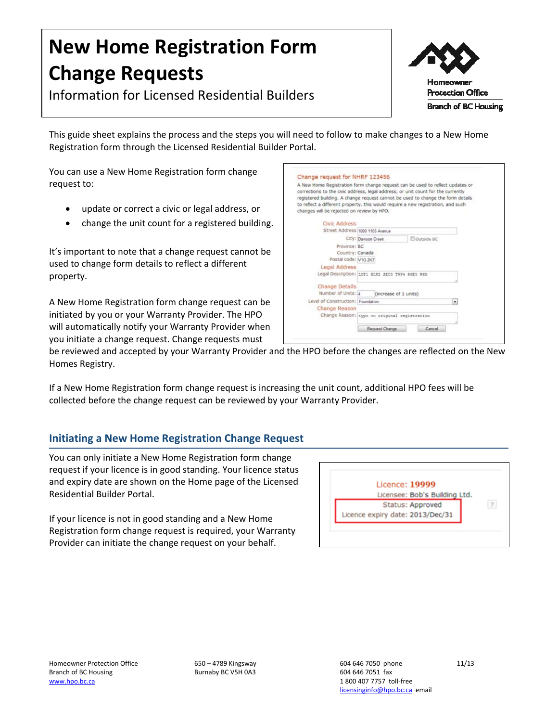# **New Home Registration Form Change Requests**

Information for Licensed Residential Builders



This guide sheet explains the process and the steps you will need to follow to make changes to a New Home Registration form through the Licensed Residential Builder Portal.

You can use a New Home Registration form change request to:

- update or correct a civic or legal address, or
- change the unit count for a registered building.

It's important to note that a change request cannot be used to change form details to reflect a different property.

A New Home Registration form change request can be initiated by you or your Warranty Provider. The HPO will automatically notify your Warranty Provider when you initiate a change request. Change requests must

| changes will be rejected on review by HPO. | A New Home Registration form change request can be used to reflect updates or<br>corrections to the civic address, legal address, or unit count for the currently<br>registered building. A change request cannot be used to change the form details<br>to reflect a different property, this would require a new registration, and such |
|--------------------------------------------|------------------------------------------------------------------------------------------------------------------------------------------------------------------------------------------------------------------------------------------------------------------------------------------------------------------------------------------|
| <b>Civic Address</b>                       |                                                                                                                                                                                                                                                                                                                                          |
| Street Address 1000 1105 Avenue            |                                                                                                                                                                                                                                                                                                                                          |
|                                            | Outside BC<br>City: Dawson Creek                                                                                                                                                                                                                                                                                                         |
| Province: BC                               |                                                                                                                                                                                                                                                                                                                                          |
| Country: Canada                            |                                                                                                                                                                                                                                                                                                                                          |
| Postal code: V1G 2K7                       |                                                                                                                                                                                                                                                                                                                                          |
| Legal Address                              |                                                                                                                                                                                                                                                                                                                                          |
|                                            | Legal Description: Lori BLK2 SEC3 THP4 RGES W6N                                                                                                                                                                                                                                                                                          |
| <b>Change Details</b>                      |                                                                                                                                                                                                                                                                                                                                          |
| Number of Units: 4                         | (increase of 1 units)                                                                                                                                                                                                                                                                                                                    |
| Level of Construction: Foundation          | ٠                                                                                                                                                                                                                                                                                                                                        |
| Change Reason                              |                                                                                                                                                                                                                                                                                                                                          |
|                                            | Change Reason: typo on original registration                                                                                                                                                                                                                                                                                             |
|                                            | Request Change<br>Cancel                                                                                                                                                                                                                                                                                                                 |

be reviewed and accepted by your Warranty Provider and the HPO before the changes are reflected on the New Homes Registry.

If a New Home Registration form change request is increasing the unit count, additional HPO fees will be collected before the change request can be reviewed by your Warranty Provider.

# **Initiating a New Home Registration Change Request**

You can only initiate a New Home Registration form change request if your licence is in good standing. Your licence status and expiry date are shown on the Home page of the Licensed Residential Builder Portal.

If your licence is not in good standing and a New Home Registration form change request is required, your Warranty Provider can initiate the change request on your behalf.

| Licence: 19999                   |                               |  |
|----------------------------------|-------------------------------|--|
|                                  | Licensee: Bob's Building Ltd. |  |
|                                  | Status: Approved              |  |
| Licence expiry date: 2013/Dec/31 |                               |  |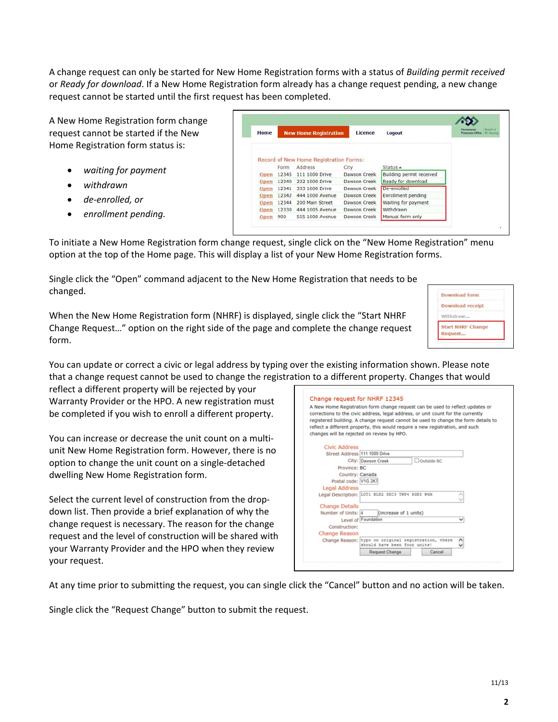A change request can only be started for New Home Registration forms with a status of *Building permit received* or *Ready for download*. If a New Home Registration form already has a change request pending, a new change request cannot be started until the first request has been completed.

A New Home Registration form change request cannot be started if the New Home Registration form status is:

- *waiting for payment*
- *withdrawn*
- *de‐enrolled, or*

 *enrollment pending.* To initiate a New Home Registration form change request, single click on the "New Home Registration" menu option at the top of the Home page. This will display a list of your New Home Registration forms.

Single click the "Open" command adjacent to the New Home Registration that needs to be changed.

When the New Home Registration form (NHRF) is displayed, single click the "Start NHRF Change Request…" option on the right side of the page and complete the change request form.

You can update or correct a civic or legal address by typing over the existing information shown. Please note that a change request cannot be used to change the registration to a different property.

reflect a different property will be rejected by your Warranty Provider or the HPO. A new registration must be completed if you wish to enroll a different property.

You can increase or decrease the unit count on a multi‐ unit New Home Registration form. However, there is no option to change the unit count on a single‐detached dwelling New Home Registration form.

Select the current level of construction from the drop‐ down list. Then provide a brief explanation of why the change request is necessary. The reason for the change request and the level of construction will be shared with your Warranty Provider and the HPO when they review your request.

Change request for N A New Home Registration fo corrections to the civic addr registered building. A chang reflect a different property. changes will be rejected on **Civic Address** Street Address 111 1000 Drive □ Outside BC City: Dawson Creek Province: BC Country: Canada Postal code: V1G 2K7 **Legal Address** Legal Mudress<br>Legal Description: LOT1 BLK2 SEC3 TWP4 RGE5 W6M **Change Details** Number of Units: 4 (increase of 1 units) Level of Foundati J. Construction: **Change Reason** Change Reason: typo on original registration, there  $\hat{\cdot}$ ould have been four units! Request Change

At any time prior to submitting the request, you can single click the "Cancel" button and no action will be taken.

Single click the "Request Change" button to submit the request.

| ormation shown. Please note<br>property. Changes that would                                                                                                                                 |
|---------------------------------------------------------------------------------------------------------------------------------------------------------------------------------------------|
| <b>HRF 12345</b><br>orm change request can be used to reflect updates or<br>ress, legal address, or unit count for the currently<br>ge request cannot be used to change the form details to |
| this would require a new registration, and such<br>review by HPO.                                                                                                                           |

**Download form Download receipt** Withdraw. **Start NHRF Change** Request...

| Home | <b>New Home Registration</b> |                                                   | Licence      | Logout                   | <b>Branch of</b><br>Protection Office EC Harring |
|------|------------------------------|---------------------------------------------------|--------------|--------------------------|--------------------------------------------------|
|      | Form                         | Record of New Home Registration Forms:<br>Address | City         | Status -                 |                                                  |
| Open | 12345                        | 111 1000 Drive                                    | Dawson Creek | Building permit received |                                                  |
|      |                              |                                                   | Dawson Creek |                          |                                                  |
| Open | 12340                        | 222 1000 Drive                                    |              | Ready for download       |                                                  |
| Open | 12341                        | 333 1000 Drive                                    | Dawson Creek | De-enrolled              |                                                  |
| Open | 12342                        | 444 1000 Avenue                                   | Dawson Creek | Enrollment pending       |                                                  |
| Open | 12344                        | 200 Main Street                                   | Dawson Creek | Waiting for payment      |                                                  |
| Open | 12330                        | 444 1005 Avenue                                   | Dawson Creek | Withdrawn                |                                                  |

**2**